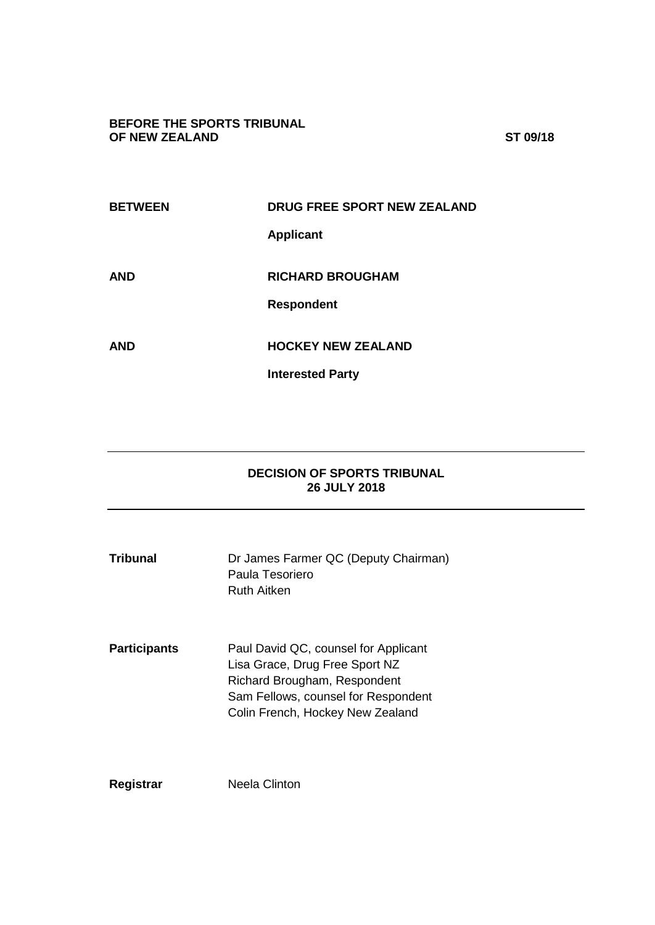### **BEFORE THE SPORTS TRIBUNAL OF NEW ZEALAND ST 09/18**

| <b>BETWEEN</b> | <b>DRUG FREE SPORT NEW ZEALAND</b> |
|----------------|------------------------------------|
|                | <b>Applicant</b>                   |
| <b>AND</b>     | <b>RICHARD BROUGHAM</b>            |
|                | <b>Respondent</b>                  |
| <b>AND</b>     | <b>HOCKEY NEW ZEALAND</b>          |
|                | <b>Interested Party</b>            |

# **DECISION OF SPORTS TRIBUNAL 26 JULY 2018**

| Tribunal            | Dr James Farmer QC (Deputy Chairman)<br>Paula Tesoriero<br>Ruth Aitken                                                                                                            |
|---------------------|-----------------------------------------------------------------------------------------------------------------------------------------------------------------------------------|
| <b>Participants</b> | Paul David QC, counsel for Applicant<br>Lisa Grace, Drug Free Sport NZ<br>Richard Brougham, Respondent<br>Sam Fellows, counsel for Respondent<br>Colin French, Hockey New Zealand |
| Registrar           | Neela Clinton                                                                                                                                                                     |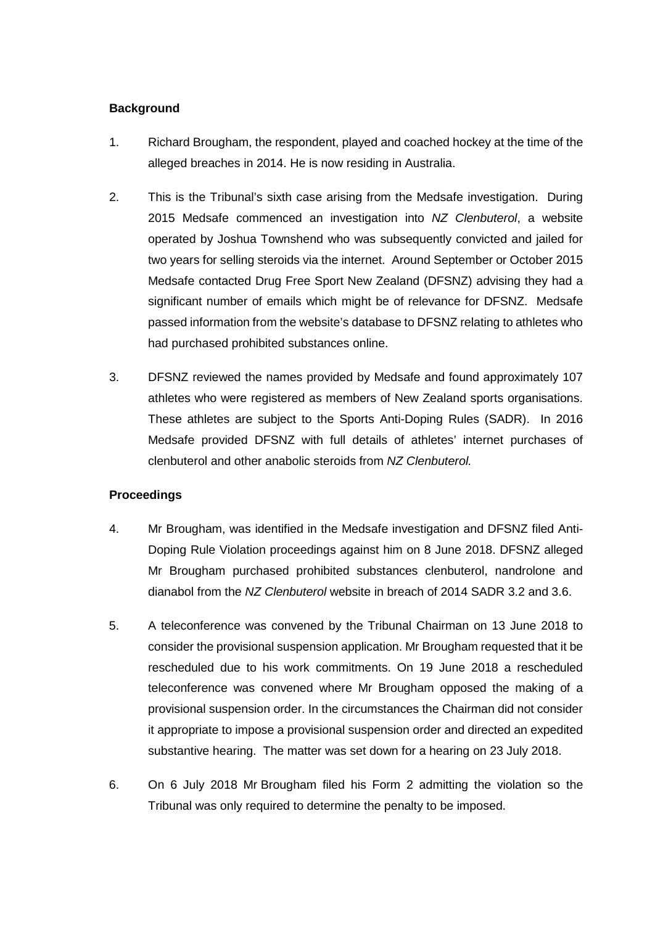## **Background**

- 1. Richard Brougham, the respondent, played and coached hockey at the time of the alleged breaches in 2014. He is now residing in Australia.
- 2. This is the Tribunal's sixth case arising from the Medsafe investigation. During 2015 Medsafe commenced an investigation into *NZ Clenbuterol*, a website operated by Joshua Townshend who was subsequently convicted and jailed for two years for selling steroids via the internet. Around September or October 2015 Medsafe contacted Drug Free Sport New Zealand (DFSNZ) advising they had a significant number of emails which might be of relevance for DFSNZ. Medsafe passed information from the website's database to DFSNZ relating to athletes who had purchased prohibited substances online.
- 3. DFSNZ reviewed the names provided by Medsafe and found approximately 107 athletes who were registered as members of New Zealand sports organisations. These athletes are subject to the Sports Anti-Doping Rules (SADR). In 2016 Medsafe provided DFSNZ with full details of athletes' internet purchases of clenbuterol and other anabolic steroids from *NZ Clenbuterol.*

### **Proceedings**

- 4. Mr Brougham, was identified in the Medsafe investigation and DFSNZ filed Anti-Doping Rule Violation proceedings against him on 8 June 2018. DFSNZ alleged Mr Brougham purchased prohibited substances clenbuterol, nandrolone and dianabol from the *NZ Clenbuterol* website in breach of 2014 SADR 3.2 and 3.6.
- 5. A teleconference was convened by the Tribunal Chairman on 13 June 2018 to consider the provisional suspension application. Mr Brougham requested that it be rescheduled due to his work commitments. On 19 June 2018 a rescheduled teleconference was convened where Mr Brougham opposed the making of a provisional suspension order. In the circumstances the Chairman did not consider it appropriate to impose a provisional suspension order and directed an expedited substantive hearing. The matter was set down for a hearing on 23 July 2018.
- 6. On 6 July 2018 Mr Brougham filed his Form 2 admitting the violation so the Tribunal was only required to determine the penalty to be imposed.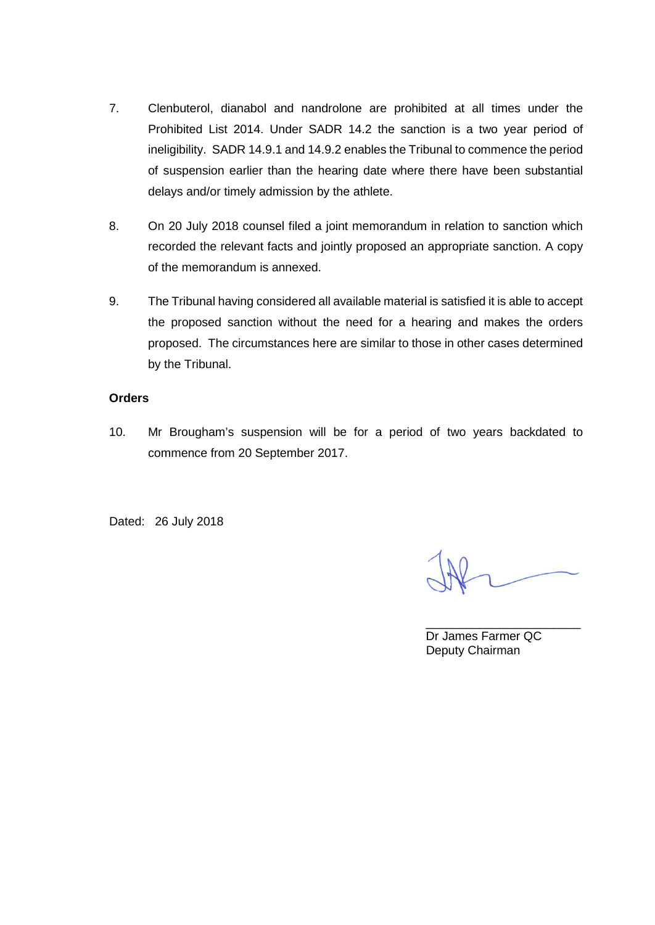- 7. Clenbuterol, dianabol and nandrolone are prohibited at all times under the Prohibited List 2014. Under SADR 14.2 the sanction is a two year period of ineligibility. SADR 14.9.1 and 14.9.2 enables the Tribunal to commence the period of suspension earlier than the hearing date where there have been substantial delays and/or timely admission by the athlete.
- 8. On 20 July 2018 counsel filed a joint memorandum in relation to sanction which recorded the relevant facts and jointly proposed an appropriate sanction. A copy of the memorandum is annexed.
- 9. The Tribunal having considered all available material is satisfied it is able to accept the proposed sanction without the need for a hearing and makes the orders proposed. The circumstances here are similar to those in other cases determined by the Tribunal.

### **Orders**

10. Mr Brougham's suspension will be for a period of two years backdated to commence from 20 September 2017.

Dated: 26 July 2018

\_\_\_\_\_\_\_\_\_\_\_\_\_\_\_\_\_\_\_\_\_\_\_ Dr James Farmer QC Deputy Chairman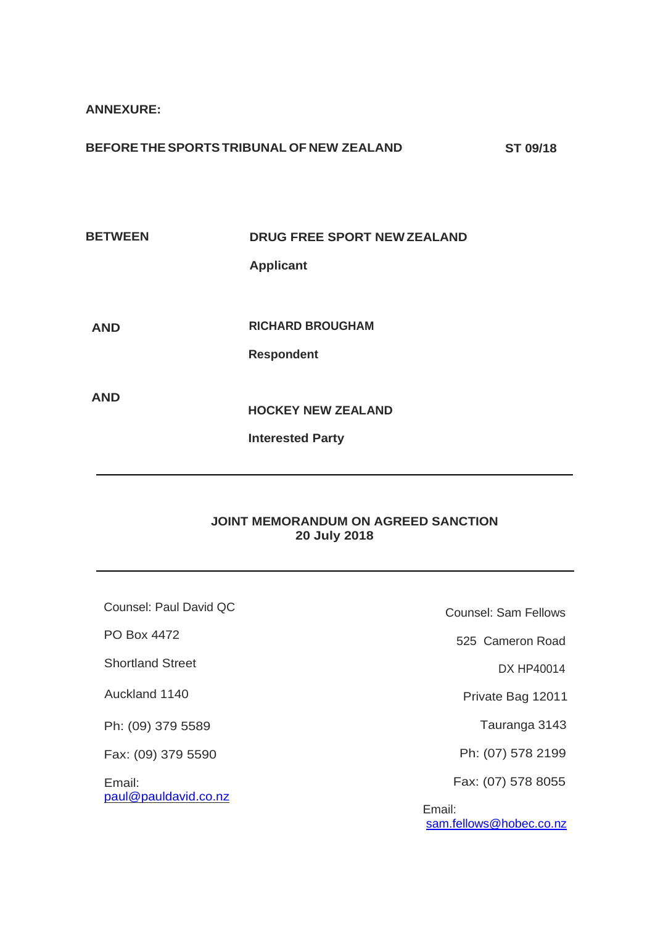**ANNEXURE:**

**BETWEEN DRUG FREE SPORT NEW ZEALAND Applicant**

**AND**

**RICHARD BROUGHAM**

**Respondent**

**AND**

**HOCKEY NEW ZEALAND**

**Interested Party**

### **JOINT MEMORANDUM ON AGREED SANCTION 20 July 2018**

Counsel: Paul David QC PO Box 4472 Shortland Street Auckland 1140 Ph: (09) 379 5589 Fax: (09) 379 5590 Email: [paul@pauldavid.co.nz](mailto:paul@pauldavid.co.nz) Counsel: Sam Fellows 525 Cameron Road DX HP40014 Private Bag 12011 Tauranga 3143 Ph: (07) 578 2199 Fax: (07) 578 8055 Email: [sam.fellows@hobec.co.nz](mailto:sam.fellows@hobec.co.nz)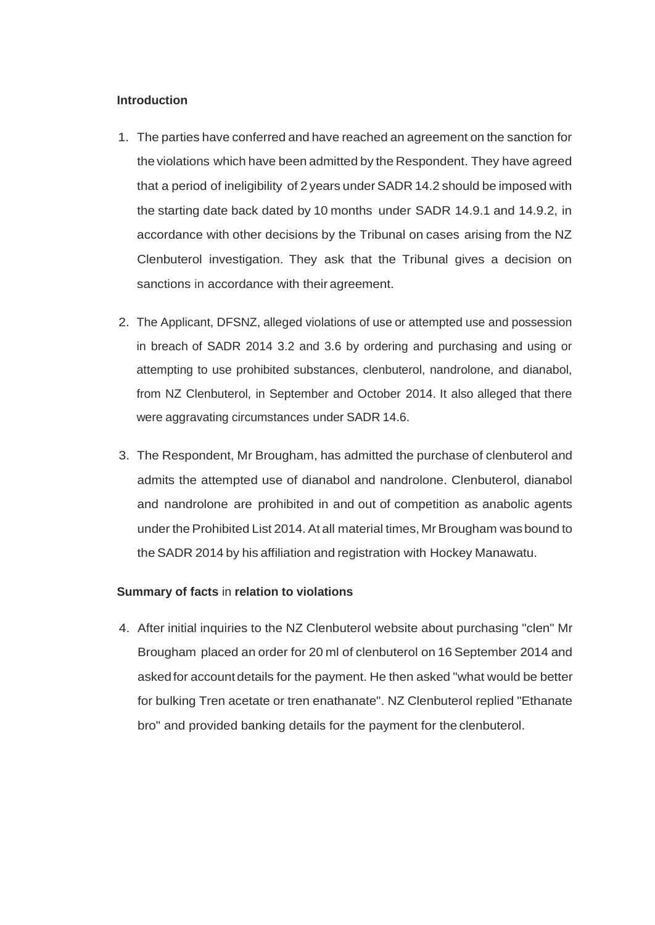#### **Introduction**

- 1. The parties have conferred and have reached an agreement on the sanction for the violations which have been admitted by the Respondent. They have agreed that a period of ineligibility of 2years underSADR 14.2 should be imposed with the starting date back dated by 10 months under SADR 14.9.1 and 14.9.2, in accordance with other decisions by the Tribunal on cases arising from the NZ Clenbuterol investigation. They ask that the Tribunal gives a decision on sanctions in accordance with their agreement.
- 2. The Applicant, DFSNZ, alleged violations of use or attempted use and possession in breach of SADR 2014 3.2 and 3.6 by ordering and purchasing and using or attempting to use prohibited substances, clenbuterol, nandrolone, and dianabol, from NZ Clenbuterol, in September and October 2014. It also alleged that there were aggravating circumstances under SADR 14.6.
- 3. The Respondent, Mr Brougham, has admitted the purchase of clenbuterol and admits the attempted use of dianabol and nandrolone. Clenbuterol, dianabol and nandrolone are prohibited in and out of competition as anabolic agents under the Prohibited List 2014. At all material times, Mr Brougham was bound to the SADR 2014 by his affiliation and registration with Hockey Manawatu.

### **Summary of facts** in **relation to violations**

4. After initial inquiries to the NZ Clenbuterol website about purchasing "clen" Mr Brougham placed an order for 20 ml of clenbuterol on 16 September 2014 and askedfor account details for the payment. He then asked "what would be better for bulking Tren acetate or tren enathanate". NZ Clenbuterol replied "Ethanate bro" and provided banking details for the payment for the clenbuterol.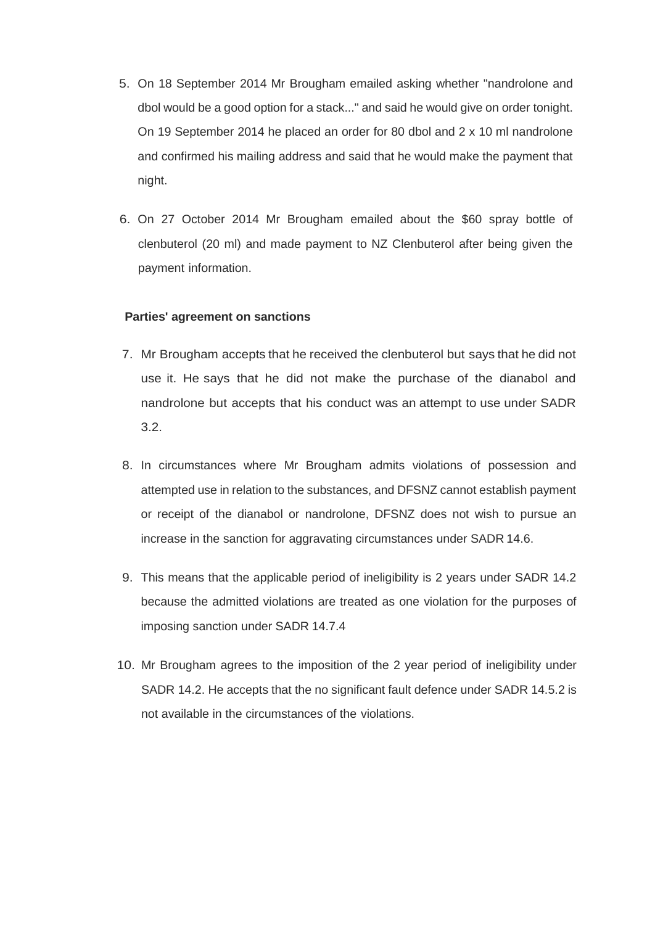- 5. On 18 September 2014 Mr Brougham emailed asking whether "nandrolone and dbol would be a good option for a stack..." and said he would give on order tonight. On 19 September 2014 he placed an order for 80 dbol and 2 x 10 ml nandrolone and confirmed his mailing address and said that he would make the payment that night.
- 6. On 27 October 2014 Mr Brougham emailed about the \$60 spray bottle of clenbuterol (20 ml) and made payment to NZ Clenbuterol after being given the payment information.

#### **Parties' agreement on sanctions**

- 7. Mr Brougham accepts that he received the clenbuterol but says that he did not use it. He says that he did not make the purchase of the dianabol and nandrolone but accepts that his conduct was an attempt to use under SADR 3.2.
- 8. In circumstances where Mr Brougham admits violations of possession and attempted use in relation to the substances, and DFSNZ cannot establish payment or receipt of the dianabol or nandrolone, DFSNZ does not wish to pursue an increase in the sanction for aggravating circumstances under SADR 14.6.
- 9. This means that the applicable period of ineligibility is 2 years under SADR 14.2 because the admitted violations are treated as one violation for the purposes of imposing sanction under SADR 14.7.4
- 10. Mr Brougham agrees to the imposition of the 2 year period of ineligibility under SADR 14.2. He accepts that the no significant fault defence under SADR 14.5.2 is not available in the circumstances of the violations.